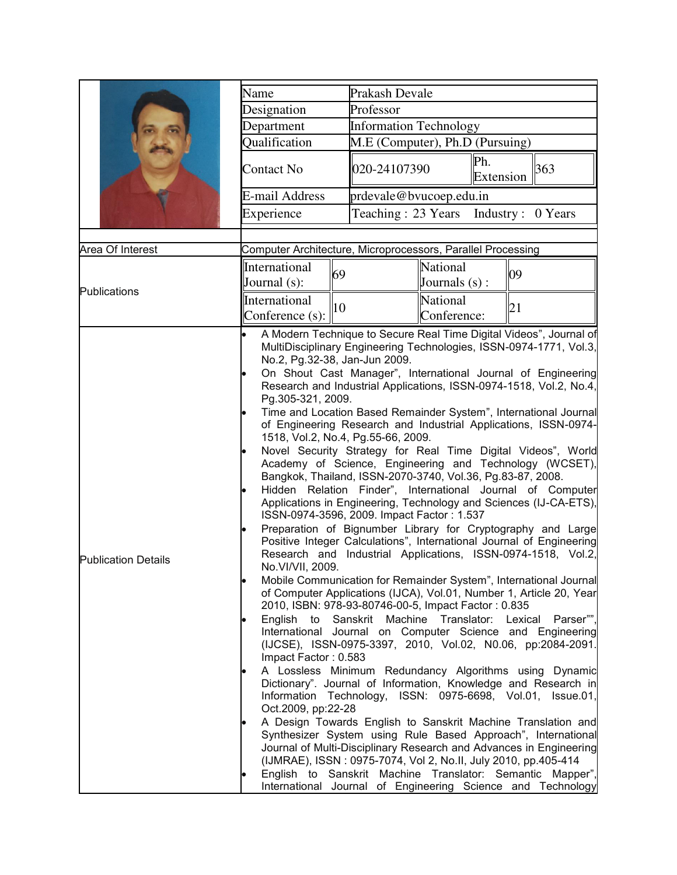|                            | Name<br>Prakash Devale                                                                            |                                                                                                                   |                                                                                                                                                                                                                             |                                                                                                                                                                                                                                                                                                                                                                                                                                                                                                                                                                                                                                                                                                                                                                                                                                                                                                                                                                                                                                                                                                                                                                                                                                                                                                                                                                                                                                                                                                                                                                                                                                                                                                             |  |
|----------------------------|---------------------------------------------------------------------------------------------------|-------------------------------------------------------------------------------------------------------------------|-----------------------------------------------------------------------------------------------------------------------------------------------------------------------------------------------------------------------------|-------------------------------------------------------------------------------------------------------------------------------------------------------------------------------------------------------------------------------------------------------------------------------------------------------------------------------------------------------------------------------------------------------------------------------------------------------------------------------------------------------------------------------------------------------------------------------------------------------------------------------------------------------------------------------------------------------------------------------------------------------------------------------------------------------------------------------------------------------------------------------------------------------------------------------------------------------------------------------------------------------------------------------------------------------------------------------------------------------------------------------------------------------------------------------------------------------------------------------------------------------------------------------------------------------------------------------------------------------------------------------------------------------------------------------------------------------------------------------------------------------------------------------------------------------------------------------------------------------------------------------------------------------------------------------------------------------------|--|
|                            | Designation                                                                                       | Professor                                                                                                         |                                                                                                                                                                                                                             |                                                                                                                                                                                                                                                                                                                                                                                                                                                                                                                                                                                                                                                                                                                                                                                                                                                                                                                                                                                                                                                                                                                                                                                                                                                                                                                                                                                                                                                                                                                                                                                                                                                                                                             |  |
|                            | Department                                                                                        |                                                                                                                   | <b>Information Technology</b>                                                                                                                                                                                               |                                                                                                                                                                                                                                                                                                                                                                                                                                                                                                                                                                                                                                                                                                                                                                                                                                                                                                                                                                                                                                                                                                                                                                                                                                                                                                                                                                                                                                                                                                                                                                                                                                                                                                             |  |
|                            | Qualification                                                                                     |                                                                                                                   | M.E (Computer), Ph.D (Pursuing)                                                                                                                                                                                             |                                                                                                                                                                                                                                                                                                                                                                                                                                                                                                                                                                                                                                                                                                                                                                                                                                                                                                                                                                                                                                                                                                                                                                                                                                                                                                                                                                                                                                                                                                                                                                                                                                                                                                             |  |
|                            | Contact No                                                                                        | 020-24107390                                                                                                      | Ph.<br>Extension                                                                                                                                                                                                            | 363                                                                                                                                                                                                                                                                                                                                                                                                                                                                                                                                                                                                                                                                                                                                                                                                                                                                                                                                                                                                                                                                                                                                                                                                                                                                                                                                                                                                                                                                                                                                                                                                                                                                                                         |  |
|                            | E-mail Address                                                                                    |                                                                                                                   | prdevale@bvucoep.edu.in                                                                                                                                                                                                     |                                                                                                                                                                                                                                                                                                                                                                                                                                                                                                                                                                                                                                                                                                                                                                                                                                                                                                                                                                                                                                                                                                                                                                                                                                                                                                                                                                                                                                                                                                                                                                                                                                                                                                             |  |
|                            | Experience                                                                                        |                                                                                                                   | Teaching: 23 Years Industry: 0 Years                                                                                                                                                                                        |                                                                                                                                                                                                                                                                                                                                                                                                                                                                                                                                                                                                                                                                                                                                                                                                                                                                                                                                                                                                                                                                                                                                                                                                                                                                                                                                                                                                                                                                                                                                                                                                                                                                                                             |  |
|                            |                                                                                                   |                                                                                                                   |                                                                                                                                                                                                                             |                                                                                                                                                                                                                                                                                                                                                                                                                                                                                                                                                                                                                                                                                                                                                                                                                                                                                                                                                                                                                                                                                                                                                                                                                                                                                                                                                                                                                                                                                                                                                                                                                                                                                                             |  |
| Area Of Interest           | Computer Architecture, Microprocessors, Parallel Processing                                       |                                                                                                                   |                                                                                                                                                                                                                             |                                                                                                                                                                                                                                                                                                                                                                                                                                                                                                                                                                                                                                                                                                                                                                                                                                                                                                                                                                                                                                                                                                                                                                                                                                                                                                                                                                                                                                                                                                                                                                                                                                                                                                             |  |
|                            | International<br>Journal (s):                                                                     | 69                                                                                                                | National<br>Journals (s) :                                                                                                                                                                                                  | 09                                                                                                                                                                                                                                                                                                                                                                                                                                                                                                                                                                                                                                                                                                                                                                                                                                                                                                                                                                                                                                                                                                                                                                                                                                                                                                                                                                                                                                                                                                                                                                                                                                                                                                          |  |
| Publications               | International                                                                                     | 10                                                                                                                | National                                                                                                                                                                                                                    | 21                                                                                                                                                                                                                                                                                                                                                                                                                                                                                                                                                                                                                                                                                                                                                                                                                                                                                                                                                                                                                                                                                                                                                                                                                                                                                                                                                                                                                                                                                                                                                                                                                                                                                                          |  |
|                            | Conference (s):                                                                                   |                                                                                                                   | Conference:                                                                                                                                                                                                                 |                                                                                                                                                                                                                                                                                                                                                                                                                                                                                                                                                                                                                                                                                                                                                                                                                                                                                                                                                                                                                                                                                                                                                                                                                                                                                                                                                                                                                                                                                                                                                                                                                                                                                                             |  |
| <b>Publication Details</b> | Pg.305-321, 2009.<br>No.VI/VII, 2009.<br>English to<br>Impact Factor: 0.583<br>Oct.2009, pp:22-28 | No.2, Pg.32-38, Jan-Jun 2009.<br>1518, Vol.2, No.4, Pg.55-66, 2009.<br>ISSN-0974-3596, 2009. Impact Factor: 1.537 | Bangkok, Thailand, ISSN-2070-3740, Vol.36, Pg.83-87, 2008.<br>2010, ISBN: 978-93-80746-00-5, Impact Factor: 0.835<br>Sanskrit Machine Translator: Lexical<br>(IJMRAE), ISSN: 0975-7074, Vol 2, No.II, July 2010, pp.405-414 | A Modern Technique to Secure Real Time Digital Videos", Journal of<br>MultiDisciplinary Engineering Technologies, ISSN-0974-1771, Vol.3,<br>On Shout Cast Manager", International Journal of Engineering<br>Research and Industrial Applications, ISSN-0974-1518, Vol.2, No.4,<br>Time and Location Based Remainder System", International Journal<br>of Engineering Research and Industrial Applications, ISSN-0974-<br>Novel Security Strategy for Real Time Digital Videos", World<br>Academy of Science, Engineering and Technology (WCSET),<br>Hidden Relation Finder", International Journal of Computer<br>Applications in Engineering, Technology and Sciences (IJ-CA-ETS),<br>Preparation of Bignumber Library for Cryptography and Large<br>Positive Integer Calculations", International Journal of Engineering<br>Research and Industrial Applications, ISSN-0974-1518, Vol.2,<br>Mobile Communication for Remainder System", International Journal<br>of Computer Applications (IJCA), Vol.01, Number 1, Article 20, Year<br>Parser"",<br>International Journal on Computer Science and Engineering<br>(IJCSE), ISSN-0975-3397, 2010, Vol.02, N0.06, pp:2084-2091.<br>A Lossless Minimum Redundancy Algorithms using Dynamic<br>Dictionary". Journal of Information, Knowledge and Research in<br>Information Technology, ISSN: 0975-6698, Vol.01, Issue.01,<br>A Design Towards English to Sanskrit Machine Translation and<br>Synthesizer System using Rule Based Approach", International<br>Journal of Multi-Disciplinary Research and Advances in Engineering<br>English to Sanskrit Machine Translator: Semantic Mapper",<br>International Journal of Engineering Science and Technology |  |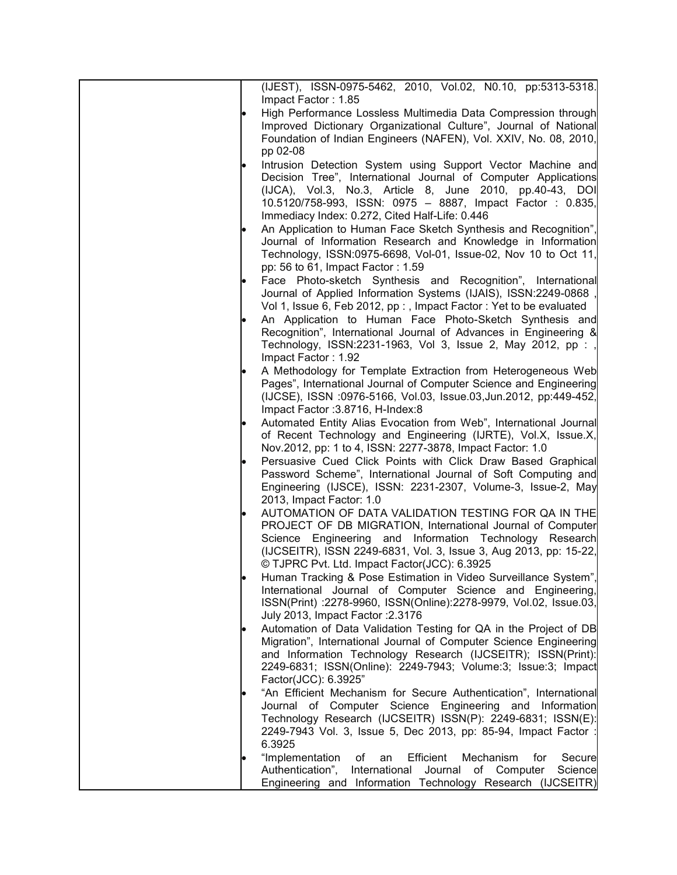| (IJEST), ISSN-0975-5462, 2010, Vol.02, N0.10, pp:5313-5318.                                                                     |
|---------------------------------------------------------------------------------------------------------------------------------|
| Impact Factor: 1.85                                                                                                             |
| High Performance Lossless Multimedia Data Compression through                                                                   |
| Improved Dictionary Organizational Culture", Journal of National                                                                |
| Foundation of Indian Engineers (NAFEN), Vol. XXIV, No. 08, 2010,<br>pp 02-08                                                    |
| Intrusion Detection System using Support Vector Machine and                                                                     |
| Decision Tree", International Journal of Computer Applications                                                                  |
| (IJCA), Vol.3, No.3, Article 8, June 2010, pp.40-43, DOI                                                                        |
| 10.5120/758-993, ISSN: 0975 - 8887, Impact Factor : 0.835,                                                                      |
| Immediacy Index: 0.272, Cited Half-Life: 0.446                                                                                  |
| An Application to Human Face Sketch Synthesis and Recognition",                                                                 |
| Journal of Information Research and Knowledge in Information                                                                    |
| Technology, ISSN:0975-6698, Vol-01, Issue-02, Nov 10 to Oct 11,                                                                 |
| pp: 56 to 61, Impact Factor: 1.59                                                                                               |
| Face Photo-sketch Synthesis and Recognition", International                                                                     |
| Journal of Applied Information Systems (IJAIS), ISSN:2249-0868                                                                  |
| Vol 1, Issue 6, Feb 2012, pp : , Impact Factor : Yet to be evaluated<br>An Application to Human Face Photo-Sketch Synthesis and |
| Recognition", International Journal of Advances in Engineering &                                                                |
| Technology, ISSN:2231-1963, Vol 3, Issue 2, May 2012, pp : ,                                                                    |
| Impact Factor: 1.92                                                                                                             |
| A Methodology for Template Extraction from Heterogeneous Web                                                                    |
| Pages", International Journal of Computer Science and Engineering                                                               |
| (IJCSE), ISSN :0976-5166, Vol.03, Issue.03, Jun.2012, pp:449-452,                                                               |
| Impact Factor: 3.8716, H-Index: 8                                                                                               |
| Automated Entity Alias Evocation from Web", International Journal                                                               |
| of Recent Technology and Engineering (IJRTE), Vol.X, Issue.X,                                                                   |
| Nov.2012, pp: 1 to 4, ISSN: 2277-3878, Impact Factor: 1.0<br>Persuasive Cued Click Points with Click Draw Based Graphical       |
| Password Scheme", International Journal of Soft Computing and                                                                   |
| Engineering (IJSCE), ISSN: 2231-2307, Volume-3, Issue-2, May                                                                    |
| 2013, Impact Factor: 1.0                                                                                                        |
| AUTOMATION OF DATA VALIDATION TESTING FOR QA IN THE                                                                             |
| PROJECT OF DB MIGRATION, International Journal of Computer                                                                      |
| Science Engineering and Information Technology Research                                                                         |
| (IJCSEITR), ISSN 2249-6831, Vol. 3, Issue 3, Aug 2013, pp: 15-22,                                                               |
| © TJPRC Pvt. Ltd. Impact Factor(JCC): 6.3925                                                                                    |
| Human Tracking & Pose Estimation in Video Surveillance System",<br>International Journal of Computer Science and Engineering,   |
| ISSN(Print) :2278-9960, ISSN(Online):2278-9979, Vol.02, Issue.03,                                                               |
| July 2013, Impact Factor: 2.3176                                                                                                |
| Automation of Data Validation Testing for QA in the Project of DB                                                               |
| Migration", International Journal of Computer Science Engineering                                                               |
| and Information Technology Research (IJCSEITR); ISSN(Print):                                                                    |
| 2249-6831; ISSN(Online): 2249-7943; Volume:3; Issue:3; Impact                                                                   |
| Factor(JCC): 6.3925"                                                                                                            |
| "An Efficient Mechanism for Secure Authentication", International                                                               |
| Journal of Computer Science Engineering and Information<br>Technology Research (IJCSEITR) ISSN(P): 2249-6831; ISSN(E):          |
| 2249-7943 Vol. 3, Issue 5, Dec 2013, pp: 85-94, Impact Factor :                                                                 |
| 6.3925                                                                                                                          |
| "Implementation<br>οf<br>an<br>Efficient<br>Mechanism<br>Secure<br>for                                                          |
| Authentication",<br>International<br>of Computer<br>Journal<br>Science                                                          |
| Engineering and Information Technology Research (IJCSEITR)                                                                      |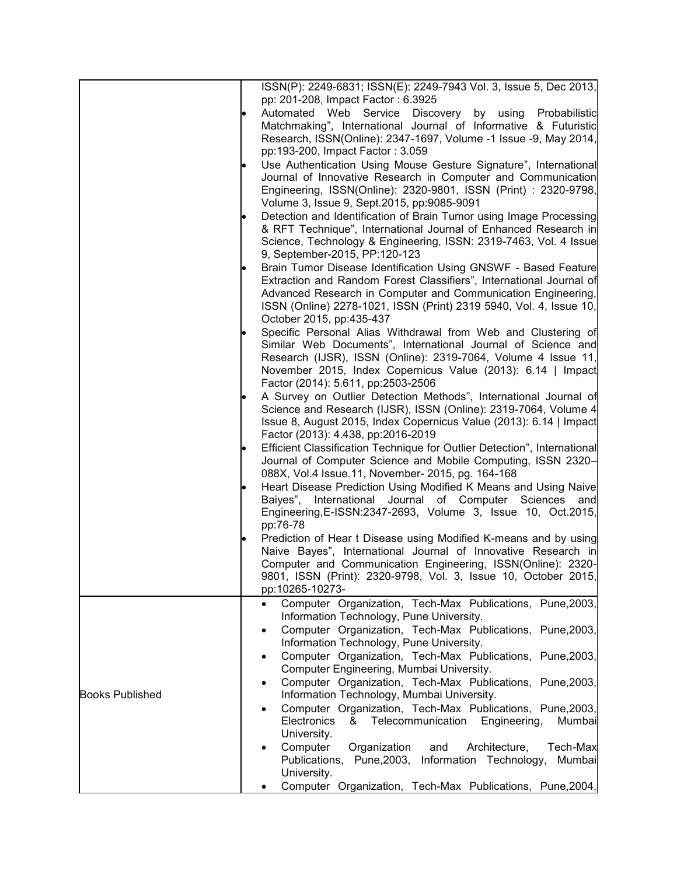|                        |  | ISSN(P): 2249-6831; ISSN(E): 2249-7943 Vol. 3, Issue 5, Dec 2013,<br>pp: 201-208, Impact Factor: 6.3925 |
|------------------------|--|---------------------------------------------------------------------------------------------------------|
|                        |  |                                                                                                         |
|                        |  | Automated Web Service<br>Discovery by using<br>Probabilistic                                            |
|                        |  | Matchmaking", International Journal of Informative & Futuristic                                         |
|                        |  | Research, ISSN(Online): 2347-1697, Volume -1 Issue -9, May 2014,                                        |
|                        |  | pp:193-200, Impact Factor: 3.059                                                                        |
|                        |  | Use Authentication Using Mouse Gesture Signature", International                                        |
|                        |  | Journal of Innovative Research in Computer and Communication                                            |
|                        |  | Engineering, ISSN(Online): 2320-9801, ISSN (Print) : 2320-9798,                                         |
|                        |  |                                                                                                         |
|                        |  | Volume 3, Issue 9, Sept. 2015, pp: 9085-9091                                                            |
|                        |  | Detection and Identification of Brain Tumor using Image Processing                                      |
|                        |  | & RFT Technique", International Journal of Enhanced Research in                                         |
|                        |  | Science, Technology & Engineering, ISSN: 2319-7463, Vol. 4 Issue                                        |
|                        |  | 9, September-2015, PP:120-123                                                                           |
|                        |  | Brain Tumor Disease Identification Using GNSWF - Based Feature                                          |
|                        |  | Extraction and Random Forest Classifiers", International Journal of                                     |
|                        |  | Advanced Research in Computer and Communication Engineering,                                            |
|                        |  | ISSN (Online) 2278-1021, ISSN (Print) 2319 5940, Vol. 4, Issue 10,                                      |
|                        |  |                                                                                                         |
|                        |  | October 2015, pp:435-437                                                                                |
|                        |  | Specific Personal Alias Withdrawal from Web and Clustering of                                           |
|                        |  | Similar Web Documents", International Journal of Science and                                            |
|                        |  | Research (IJSR), ISSN (Online): 2319-7064, Volume 4 Issue 11,                                           |
|                        |  | November 2015, Index Copernicus Value (2013): 6.14   Impact                                             |
|                        |  | Factor (2014): 5.611, pp:2503-2506                                                                      |
|                        |  | A Survey on Outlier Detection Methods", International Journal of                                        |
|                        |  | Science and Research (IJSR), ISSN (Online): 2319-7064, Volume 4                                         |
|                        |  | Issue 8, August 2015, Index Copernicus Value (2013): 6.14   Impact                                      |
|                        |  |                                                                                                         |
|                        |  | Factor (2013): 4.438, pp:2016-2019                                                                      |
|                        |  | Efficient Classification Technique for Outlier Detection", International                                |
|                        |  | Journal of Computer Science and Mobile Computing, ISSN 2320-                                            |
|                        |  | 088X, Vol.4 Issue.11, November- 2015, pg. 164-168                                                       |
|                        |  | Heart Disease Prediction Using Modified K Means and Using Naive                                         |
|                        |  | Baiyes", International Journal of Computer Sciences and                                                 |
|                        |  | Engineering, E-ISSN: 2347-2693, Volume 3, Issue 10, Oct. 2015,                                          |
|                        |  | pp:76-78                                                                                                |
|                        |  | Prediction of Hear t Disease using Modified K-means and by using                                        |
|                        |  | Naive Bayes", International Journal of Innovative Research in                                           |
|                        |  |                                                                                                         |
|                        |  | Computer and Communication Engineering, ISSN(Online): 2320-                                             |
|                        |  | 9801, ISSN (Print): 2320-9798, Vol. 3, Issue 10, October 2015,                                          |
|                        |  | pp:10265-10273-                                                                                         |
|                        |  | Computer Organization, Tech-Max Publications, Pune, 2003,<br>$\bullet$                                  |
|                        |  | Information Technology, Pune University.                                                                |
| $\bullet$              |  | Computer Organization, Tech-Max Publications, Pune, 2003,                                               |
|                        |  | Information Technology, Pune University.                                                                |
|                        |  | Computer Organization, Tech-Max Publications, Pune, 2003,<br>$\bullet$                                  |
|                        |  | Computer Engineering, Mumbai University.                                                                |
|                        |  | Computer Organization, Tech-Max Publications, Pune, 2003,<br>$\bullet$                                  |
| <b>Books Published</b> |  |                                                                                                         |
|                        |  | Information Technology, Mumbai University.                                                              |
|                        |  | Computer Organization, Tech-Max Publications, Pune, 2003,<br>$\bullet$                                  |
|                        |  | Telecommunication<br>Electronics<br>&<br>Engineering,<br>Mumbai                                         |
|                        |  | University.                                                                                             |
|                        |  | Computer<br>Organization<br>and<br>Architecture,<br>Tech-Max                                            |
|                        |  | Publications, Pune, 2003, Information Technology,<br>Mumbai                                             |
|                        |  | University.                                                                                             |
|                        |  | Computer Organization, Tech-Max Publications, Pune, 2004,                                               |
|                        |  |                                                                                                         |